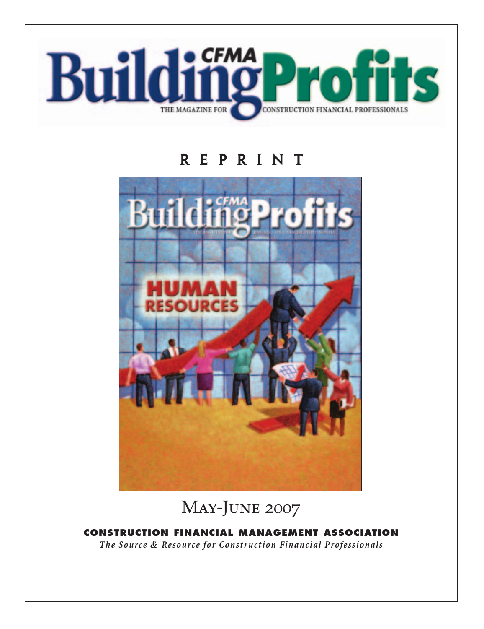

# **reprint**



May-June 2007

**CONSTRUCTION FINANCIAL MANAGEMENT ASSOCIATION**

*The Source & Resource for Construction Financial Professionals*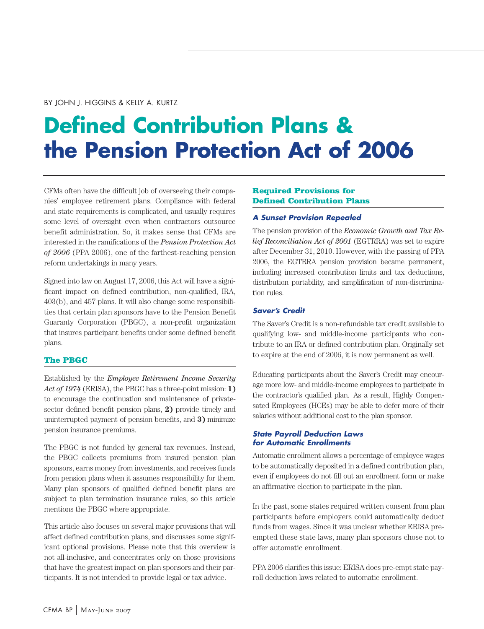#### BY JOHN J. HIGGINS & KELLY A. KURTZ

# **Defined Contribution Plans & the Pension Protection Act of 2006**

CFMs often have the difficult job of overseeing their companies' employee retirement plans. Compliance with federal and state requirements is complicated, and usually requires some level of oversight even when contractors outsource benefit administration. So, it makes sense that CFMs are interested in the ramifications of the *Pension Protection Act of 2006* (PPA 2006), one of the farthest-reaching pension reform undertakings in many years.

Signed into law on August 17, 2006, this Act will have a significant impact on defined contribution, non-qualified, IRA, 403(b), and 457 plans. It will also change some responsibilities that certain plan sponsors have to the Pension Benefit Guaranty Corporation (PBGC), a non-profit organization that insures participant benefits under some defined benefit plans.

#### **The PBGC**

Established by the *Employee Retirement Income Security Act of 1974* (ERISA), the PBGC has a three-point mission: **1)** to encourage the continuation and maintenance of privatesector defined benefit pension plans, **2)** provide timely and uninterrupted payment of pension benefits, and **3)** minimize pension insurance premiums.

The PBGC is not funded by general tax revenues. Instead, the PBGC collects premiums from insured pension plan sponsors, earns money from investments, and receives funds from pension plans when it assumes responsibility for them. Many plan sponsors of qualified defined benefit plans are subject to plan termination insurance rules, so this article mentions the PBGC where appropriate.

This article also focuses on several major provisions that will affect defined contribution plans, and discusses some significant optional provisions. Please note that this overview is not all-inclusive, and concentrates only on those provisions that have the greatest impact on plan sponsors and their participants. It is not intended to provide legal or tax advice.

#### **Required Provisions for Defined Contribution Plans**

#### *A Sunset Provision Repealed*

The pension provision of the *Economic Growth and Tax Relief Reconciliation Act of 2001* (EGTRRA) was set to expire after December 31, 2010. However, with the passing of PPA 2006, the EGTRRA pension provision became permanent, including increased contribution limits and tax deductions, distribution portability, and simplification of non-discrimination rules.

#### *Saver's Credit*

The Saver's Credit is a non-refundable tax credit available to qualifying low- and middle-income participants who contribute to an IRA or defined contribution plan. Originally set to expire at the end of 2006, it is now permanent as well.

Educating participants about the Saver's Credit may encourage more low- and middle-income employees to participate in the contractor's qualified plan. As a result, Highly Compensated Employees (HCEs) may be able to defer more of their salaries without additional cost to the plan sponsor.

#### *State Payroll Deduction Laws for Automatic Enrollments*

Automatic enrollment allows a percentage of employee wages to be automatically deposited in a defined contribution plan, even if employees do not fill out an enrollment form or make an affirmative election to participate in the plan.

In the past, some states required written consent from plan participants before employers could automatically deduct funds from wages. Since it was unclear whether ERISA preempted these state laws, many plan sponsors chose not to offer automatic enrollment.

PPA 2006 clarifies this issue: ERISA does pre-empt state payroll deduction laws related to automatic enrollment.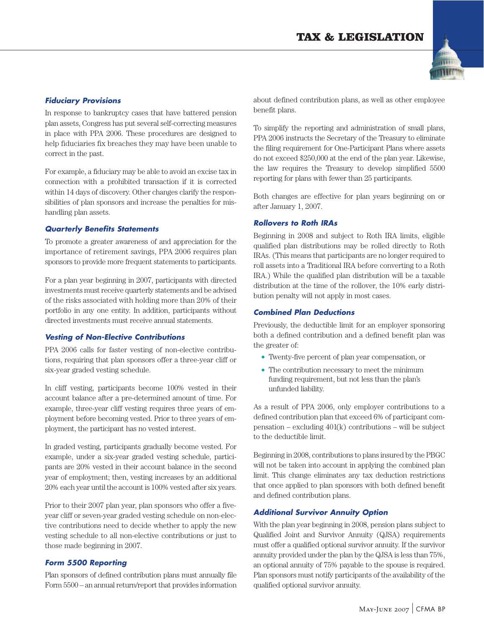

# *Fiduciary Provisions*

In response to bankruptcy cases that have battered pension plan assets, Congress has put several self-correcting measures in place with PPA 2006. These procedures are designed to help fiduciaries fix breaches they may have been unable to correct in the past.

For example, a fiduciary may be able to avoid an excise tax in connection with a prohibited transaction if it is corrected within 14 days of discovery. Other changes clarify the responsibilities of plan sponsors and increase the penalties for mishandling plan assets.

### *Quarterly Benefits Statements*

To promote a greater awareness of and appreciation for the importance of retirement savings, PPA 2006 requires plan sponsors to provide more frequent statements to participants.

For a plan year beginning in 2007, participants with directed investments must receive quarterly statements and be advised of the risks associated with holding more than 20% of their portfolio in any one entity. In addition, participants without directed investments must receive annual statements.

# *Vesting of Non-Elective Contributions*

PPA 2006 calls for faster vesting of non-elective contributions, requiring that plan sponsors offer a three-year cliff or six-year graded vesting schedule.

In cliff vesting, participants become 100% vested in their account balance after a pre-determined amount of time. For example, three-year cliff vesting requires three years of employment before becoming vested. Prior to three years of employment, the participant has no vested interest.

In graded vesting, participants gradually become vested. For example, under a six-year graded vesting schedule, participants are 20% vested in their account balance in the second year of employment; then, vesting increases by an additional 20% each year until the account is 100% vested after six years.

Prior to their 2007 plan year, plan sponsors who offer a fiveyear cliff or seven-year graded vesting schedule on non-elective contributions need to decide whether to apply the new vesting schedule to all non-elective contributions or just to those made beginning in 2007.

# *Form 5500 Reporting*

Plan sponsors of defined contribution plans must annually file Form 5500 – an annual return/report that provides information about defined contribution plans, as well as other employee benefit plans.

To simplify the reporting and administration of small plans, PPA 2006 instructs the Secretary of the Treasury to eliminate the filing requirement for One-Participant Plans where assets do not exceed \$250,000 at the end of the plan year. Likewise, the law requires the Treasury to develop simplified 5500 reporting for plans with fewer than 25 participants.

Both changes are effective for plan years beginning on or after January 1, 2007.

# *Rollovers to Roth IRAs*

Beginning in 2008 and subject to Roth IRA limits, eligible qualified plan distributions may be rolled directly to Roth IRAs. (This means that participants are no longer required to roll assets into a Traditional IRA before converting to a Roth IRA.) While the qualified plan distribution will be a taxable distribution at the time of the rollover, the 10% early distribution penalty will not apply in most cases.

#### *Combined Plan Deductions*

Previously, the deductible limit for an employer sponsoring both a defined contribution and a defined benefit plan was the greater of:

- **•** Twenty-five percent of plan year compensation, or
- **•** The contribution necessary to meet the minimum funding requirement, but not less than the plan's unfunded liability.

As a result of PPA 2006, only employer contributions to a defined contribution plan that exceed 6% of participant compensation – excluding 401(k) contributions – will be subject to the deductible limit.

Beginning in 2008, contributions to plans insured by the PBGC will not be taken into account in applying the combined plan limit. This change eliminates any tax deduction restrictions that once applied to plan sponsors with both defined benefit and defined contribution plans.

#### *Additional Survivor Annuity Option*

With the plan year beginning in 2008, pension plans subject to Qualified Joint and Survivor Annuity (QJSA) requirements must offer a qualified optional survivor annuity. If the survivor annuity provided under the plan by the QJSA is less than 75%, an optional annuity of 75% payable to the spouse is required. Plan sponsors must notify participants of the availability of the qualified optional survivor annuity.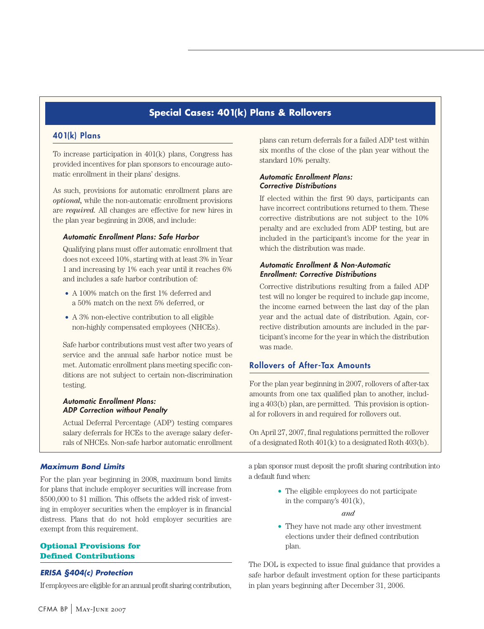# **Special Cases: 401(k) Plans & Rollovers**

#### **401(k) Plans**

To increase participation in 401(k) plans, Congress has provided incentives for plan sponsors to encourage automatic enrollment in their plans' designs.

As such, provisions for automatic enrollment plans are *optional,* while the non-automatic enrollment provisions are *required.* All changes are effective for new hires in the plan year beginning in 2008, and include:

#### *Automatic Enrollment Plans: Safe Harbor*

Qualifying plans must offer automatic enrollment that does not exceed 10%, starting with at least 3% in Year 1 and increasing by 1% each year until it reaches 6% and includes a safe harbor contribution of:

- A 100% match on the first 1% deferred and a 50% match on the next 5% deferred, or
- **•** A 3% non-elective contribution to all eligible non-highly compensated employees (NHCEs).

Safe harbor contributions must vest after two years of service and the annual safe harbor notice must be met. Automatic enrollment plans meeting specific conditions are not subject to certain non-discrimination testing.

#### *Automatic Enrollment Plans: ADP Correction without Penalty*

Actual Deferral Percentage (ADP) testing compares salary deferrals for HCEs to the average salary deferrals of NHCEs. Non-safe harbor automatic enrollment

#### *Maximum Bond Limits*

For the plan year beginning in 2008, maximum bond limits for plans that include employer securities will increase from \$500,000 to \$1 million. This offsets the added risk of investing in employer securities when the employer is in financial distress. Plans that do not hold employer securities are exempt from this requirement.

#### **Optional Provisions for Defined Contributions**

#### *ERISA §404(c) Protection*

If employees are eligible for an annual profit sharing contribution,

plans can return deferrals for a failed ADP test within six months of the close of the plan year without the standard 10% penalty.

#### *Automatic Enrollment Plans: Corrective Distributions*

If elected within the first 90 days, participants can have incorrect contributions returned to them. These corrective distributions are not subject to the 10% penalty and are excluded from ADP testing, but are included in the participant's income for the year in which the distribution was made.

#### *Automatic Enrollment & Non-Automatic Enrollment: Corrective Distributions*

Corrective distributions resulting from a failed ADP test will no longer be required to include gap income, the income earned between the last day of the plan year and the actual date of distribution. Again, corrective distribution amounts are included in the participant's income for the year in which the distribution was made.

#### **Rollovers of After-Tax Amounts**

For the plan year beginning in 2007, rollovers of after-tax amounts from one tax qualified plan to another, including a 403(b) plan, are permitted. This provision is optional for rollovers in and required for rollovers out.

On April 27, 2007, final regulations permitted the rollover of a designated Roth 401(k) to a designated Roth 403(b).

a plan sponsor must deposit the profit sharing contribution into a default fund when:

> **•** The eligible employees do not participate in the company's  $401(k)$ ,

> > *and*

• They have not made any other investment elections under their defined contribution plan.

The DOL is expected to issue final guidance that provides a safe harbor default investment option for these participants in plan years beginning after December 31, 2006.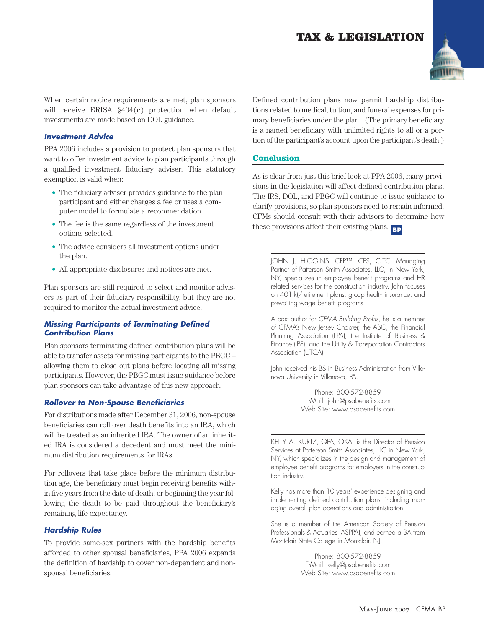

When certain notice requirements are met, plan sponsors will receive ERISA §404(c) protection when default investments are made based on DOL guidance.

#### *Investment Advice*

PPA 2006 includes a provision to protect plan sponsors that want to offer investment advice to plan participants through a qualified investment fiduciary adviser. This statutory exemption is valid when:

- **•** The fiduciary adviser provides guidance to the plan participant and either charges a fee or uses a computer model to formulate a recommendation.
- **•** The fee is the same regardless of the investment options selected.
- **•** The advice considers all investment options under the plan.
- **•** All appropriate disclosures and notices are met.

Plan sponsors are still required to select and monitor advisers as part of their fiduciary responsibility, but they are not required to monitor the actual investment advice.

#### *Missing Participants of Terminating Defined Contribution Plans*

Plan sponsors terminating defined contribution plans will be able to transfer assets for missing participants to the PBGC – allowing them to close out plans before locating all missing participants. However, the PBGC must issue guidance before plan sponsors can take advantage of this new approach.

#### *Rollover to Non-Spouse Beneficiaries*

For distributions made after December 31, 2006, non-spouse beneficiaries can roll over death benefits into an IRA, which will be treated as an inherited IRA. The owner of an inherited IRA is considered a decedent and must meet the minimum distribution requirements for IRAs.

For rollovers that take place before the minimum distribution age, the beneficiary must begin receiving benefits within five years from the date of death, or beginning the year following the death to be paid throughout the beneficiary's remaining life expectancy.

#### *Hardship Rules*

To provide same-sex partners with the hardship benefits afforded to other spousal beneficiaries, PPA 2006 expands the definition of hardship to cover non-dependent and nonspousal beneficiaries.

Defined contribution plans now permit hardship distributions related to medical, tuition, and funeral expenses for primary beneficiaries under the plan. (The primary beneficiary is a named beneficiary with unlimited rights to all or a portion of the participant's account upon the participant's death.)

#### **Conclusion**

As is clear from just this brief look at PPA 2006, many provisions in the legislation will affect defined contribution plans. The IRS, DOL, and PBGC will continue to issue guidance to clarify provisions, so plan sponsors need to remain informed. CFMs should consult with their advisors to determine how these provisions affect their existing plans. **BP**

JOHN J. HIGGINS, CFP™, CFS, CLTC, Managing Partner of Patterson Smith Associates, LLC, in New York, NY, specializes in employee benefit programs and HR related services for the construction industry. John focuses on 401(k)/retirement plans, group health insurance, and prevailing wage benefit programs.

A past author for *CFMA Building Profits,* he is a member of CFMA's New Jersey Chapter, the ABC, the Financial Planning Association (FPA), the Institute of Business & Finance (IBF), and the Utility & Transportation Contractors Association (UTCA).

John received his BS in Business Administration from Villanova University in Villanova, PA.

> Phone: 800-572-8859 E-Mail: john@psabenefits.com Web Site: www.psabenefits.com

KELLY A. KURTZ, QPA, QKA, is the Director of Pension Services at Patterson Smith Associates, LLC in New York, NY, which specializes in the design and management of employee benefit programs for employers in the construction industry.

Kelly has more than 10 years' experience designing and implementing defined contribution plans, including managing overall plan operations and administration.

She is a member of the American Society of Pension Professionals & Actuaries (ASPPA), and earned a BA from Montclair State College in Montclair, NJ.

> Phone: 800-572-8859 E-Mail: kelly@psabenefits.com Web Site: www.psabenefits.com